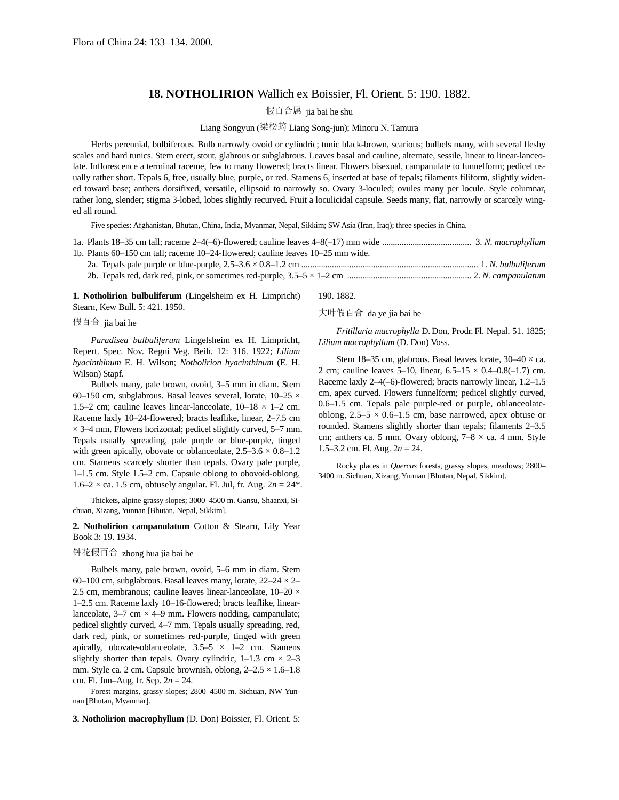## **18. NOTHOLIRION** Wallich ex Boissier, Fl. Orient. 5: 190. 1882.

假百合属 jia bai he shu

## Liang Songyun (梁松筠 Liang Song-jun); Minoru N. Tamura

Herbs perennial, bulbiferous. Bulb narrowly ovoid or cylindric; tunic black-brown, scarious; bulbels many, with several fleshy scales and hard tunics. Stem erect, stout, glabrous or subglabrous. Leaves basal and cauline, alternate, sessile, linear to linear-lanceolate. Inflorescence a terminal raceme, few to many flowered; bracts linear. Flowers bisexual, campanulate to funnelform; pedicel usually rather short. Tepals 6, free, usually blue, purple, or red. Stamens 6, inserted at base of tepals; filaments filiform, slightly widened toward base; anthers dorsifixed, versatile, ellipsoid to narrowly so. Ovary 3-loculed; ovules many per locule. Style columnar, rather long, slender; stigma 3-lobed, lobes slightly recurved. Fruit a loculicidal capsule. Seeds many, flat, narrowly or scarcely winged all round.

Five species: Afghanistan, Bhutan, China, India, Myanmar, Nepal, Sikkim; SW Asia (Iran, Iraq); three species in China.

| 1b. Plants 60–150 cm tall; raceme 10–24-flowered; cauline leaves 10–25 mm wide. |  |
|---------------------------------------------------------------------------------|--|
|                                                                                 |  |
|                                                                                 |  |

**1. Notholirion bulbuliferum** (Lingelsheim ex H. Limpricht) Stearn, Kew Bull. 5: 421. 1950.

假百合 jia bai he

*Paradisea bulbuliferum* Lingelsheim ex H. Limpricht, Repert. Spec. Nov. Regni Veg. Beih. 12: 316. 1922; *Lilium hyacinthinum* E. H. Wilson; *Notholirion hyacinthinum* (E. H. Wilson) Stapf.

Bulbels many, pale brown, ovoid, 3–5 mm in diam. Stem 60–150 cm, subglabrous. Basal leaves several, lorate,  $10-25 \times$ 1.5–2 cm; cauline leaves linear-lanceolate,  $10-18 \times 1-2$  cm. Raceme laxly 10–24-flowered; bracts leaflike, linear, 2–7.5 cm  $\times$  3–4 mm. Flowers horizontal; pedicel slightly curved, 5–7 mm. Tepals usually spreading, pale purple or blue-purple, tinged with green apically, obovate or oblanceolate,  $2.5-3.6 \times 0.8-1.2$ cm. Stamens scarcely shorter than tepals. Ovary pale purple, 1–1.5 cm. Style 1.5–2 cm. Capsule oblong to obovoid-oblong,  $1.6-2 \times$  ca. 1.5 cm, obtusely angular. Fl. Jul, fr. Aug.  $2n = 24$ <sup>\*</sup>.

Thickets, alpine grassy slopes; 3000–4500 m. Gansu, Shaanxi, Sichuan, Xizang, Yunnan [Bhutan, Nepal, Sikkim].

**2. Notholirion campanulatum** Cotton & Stearn, Lily Year Book 3: 19. 1934.

## 钟花假百合 zhong hua jia bai he

Bulbels many, pale brown, ovoid, 5–6 mm in diam. Stem 60–100 cm, subglabrous. Basal leaves many, lorate,  $22-24 \times 2-$ 2.5 cm, membranous; cauline leaves linear-lanceolate,  $10-20 \times$ 1–2.5 cm. Raceme laxly 10–16-flowered; bracts leaflike, linearlanceolate,  $3-7$  cm  $\times$  4–9 mm. Flowers nodding, campanulate; pedicel slightly curved, 4–7 mm. Tepals usually spreading, red, dark red, pink, or sometimes red-purple, tinged with green apically, obovate-oblanceolate,  $3.5-5 \times 1-2$  cm. Stamens slightly shorter than tepals. Ovary cylindric,  $1-1.3$  cm  $\times$  2-3 mm. Style ca. 2 cm. Capsule brownish, oblong,  $2-2.5 \times 1.6-1.8$ cm. Fl. Jun–Aug, fr. Sep. 2*n* = 24.

Forest margins, grassy slopes; 2800–4500 m. Sichuan, NW Yunnan [Bhutan, Myanmar].

**3. Notholirion macrophyllum** (D. Don) Boissier, Fl. Orient. 5:

190. 1882.

大叶假百合 da ye jia bai he

*Fritillaria macrophylla* D. Don, Prodr. Fl. Nepal. 51. 1825; *Lilium macrophyllum* (D. Don) Voss.

Stem 18–35 cm, glabrous. Basal leaves lorate,  $30-40 \times$  ca. 2 cm; cauline leaves 5–10, linear,  $6.5-15 \times 0.4-0.8(-1.7)$  cm. Raceme laxly 2–4(–6)-flowered; bracts narrowly linear, 1.2–1.5 cm, apex curved. Flowers funnelform; pedicel slightly curved, 0.6–1.5 cm. Tepals pale purple-red or purple, oblanceolateoblong,  $2.5-5 \times 0.6-1.5$  cm, base narrowed, apex obtuse or rounded. Stamens slightly shorter than tepals; filaments 2–3.5 cm; anthers ca. 5 mm. Ovary oblong,  $7-8 \times$  ca. 4 mm. Style 1.5–3.2 cm. Fl. Aug. 2*n* = 24.

Rocky places in *Quercus* forests, grassy slopes, meadows; 2800– 3400 m. Sichuan, Xizang, Yunnan [Bhutan, Nepal, Sikkim].